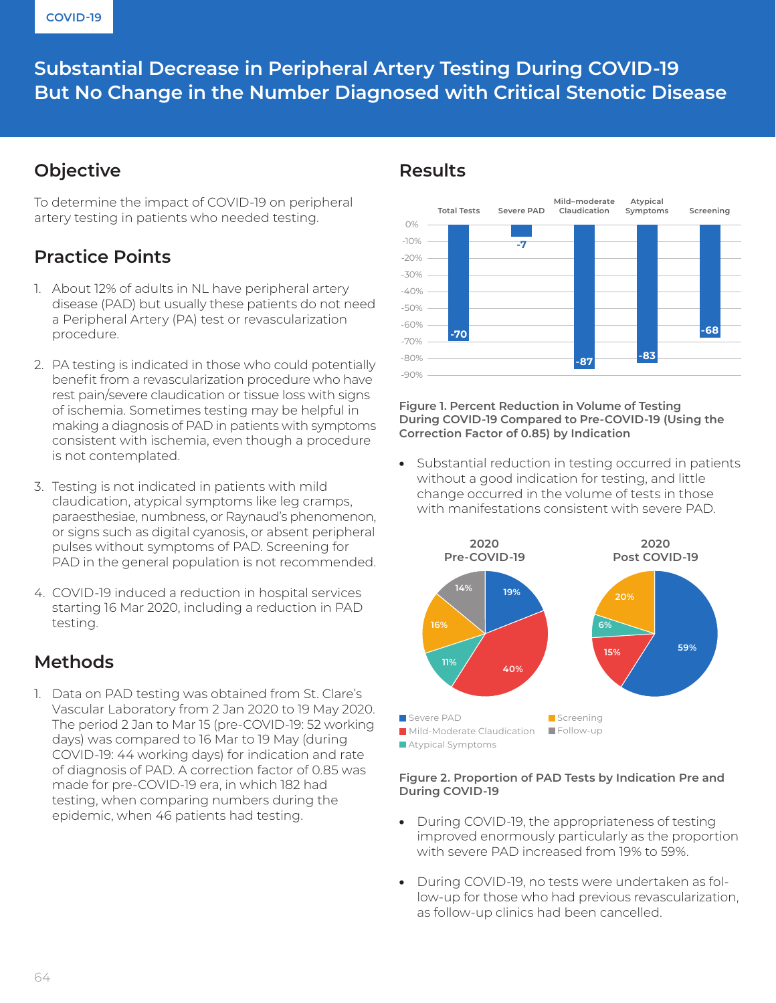# **Title here Substantial Decrease in Peripheral Artery Testing During COVID-19 But No Change in the Number Diagnosed with Critical Stenotic Disease**

## **Objective**

To determine the impact of COVID-19 on peripheral artery testing in patients who needed testing.

## **Practice Points**

- 1. About 12% of adults in NL have peripheral artery disease (PAD) but usually these patients do not need a Peripheral Artery (PA) test or revascularization procedure.
- 2. PA testing is indicated in those who could potentially benefit from a revascularization procedure who have rest pain/severe claudication or tissue loss with signs of ischemia. Sometimes testing may be helpful in making a diagnosis of PAD in patients with symptoms consistent with ischemia, even though a procedure is not contemplated.
- 3. Testing is not indicated in patients with mild claudication, atypical symptoms like leg cramps, paraesthesiae, numbness, or Raynaud's phenomenon, or signs such as digital cyanosis, or absent peripheral pulses without symptoms of PAD. Screening for PAD in the general population is not recommended.
- 4. COVID-19 induced a reduction in hospital services starting 16 Mar 2020, including a reduction in PAD testing.

## **Methods**

1. Data on PAD testing was obtained from St. Clare's Vascular Laboratory from 2 Jan 2020 to 19 May 2020. The period 2 Jan to Mar 15 (pre-COVID-19: 52 working days) was compared to 16 Mar to 19 May (during COVID-19: 44 working days) for indication and rate of diagnosis of PAD. A correction factor of 0.85 was made for pre-COVID-19 era, in which 182 had testing, when comparing numbers during the epidemic, when 46 patients had testing.

### **Results**



**Figure 1. Percent Reduction in Volume of Testing During COVID-19 Compared to Pre-COVID-19 (Using the Correction Factor of 0.85) by Indication**

• Substantial reduction in testing occurred in patients without a good indication for testing, and little change occurred in the volume of tests in those with manifestations consistent with severe PAD.



#### **Figure 2. Proportion of PAD Tests by Indication Pre and During COVID-19**

- During COVID-19, the appropriateness of testing improved enormously particularly as the proportion with severe PAD increased from 19% to 59%.
- During COVID-19, no tests were undertaken as follow-up for those who had previous revascularization, as follow-up clinics had been cancelled.